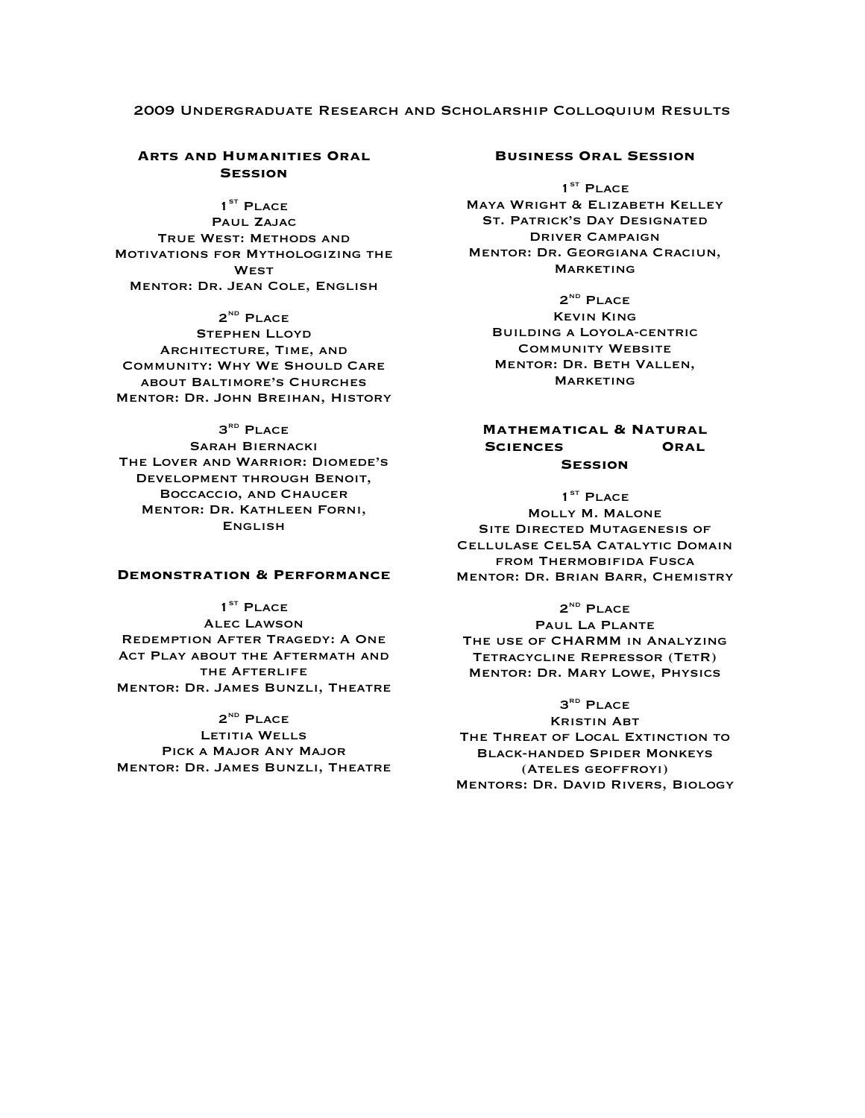### 2009 Undergraduate Research and Scholarship Colloquium Results

# **Arts and Humanities Oral Session**

 $1<sup>ST</sup>$  PLACE PAUL ZAJAC True West: Methods and Motivations for Mythologizing the **WEST** Mentor: Dr. Jean Cole, English

 $2^{ND}$  PLACE Stephen Lloyd Architecture, Time, and Community: Why We Should Care about Baltimore's Churches Mentor: Dr. John Breihan, History

# 3<sup>RD</sup> PLACE

Sarah Biernacki The Lover and Warrior: Diomede's Development through Benoit, Boccaccio, and Chaucer Mentor: Dr. Kathleen Forni, **ENGLISH** 

#### **Demonstration & Performance**

 $1<sup>ST</sup>$  PLACE Alec Lawson Redemption After Tragedy: A One Act Play about the Aftermath and the Afterlife Mentor: Dr. James Bunzli, Theatre

 $2^{ND}$  PLACE Letitia Wells Pick a Major Any Major Mentor: Dr. James Bunzli, Theatre

#### **Business Oral Session**

1<sup>ST</sup> PLACE Maya Wright & Elizabeth Kelley St. Patrick's Day Designated Driver Campaign Mentor: Dr. Georgiana Craciun, **MARKETING** 

> $2^{ND}$  PLACE Kevin King Building a Loyola-centric Community Website Mentor: Dr. Beth Vallen, **MARKETING**

### **Mathematical & Natural Sciences Oral Session**

### $1<sup>ST</sup>$  PLACE Molly M. Malone Site Directed Mutagenesis of Cellulase Cel5A Catalytic Domain from Thermobifida Fusca Mentor: Dr. Brian Barr, Chemistry

 $2^{ND}$  PLACE Paul La Plante The use of CHARMM in Analyzing Tetracycline Repressor (TetR) Mentor: Dr. Mary Lowe, Physics

# 3<sup>RD</sup> PLACE

Kristin Abt The Threat of Local Extinction to Black-handed Spider Monkeys (Ateles geoffroyi) Mentors: Dr. David Rivers, Biology